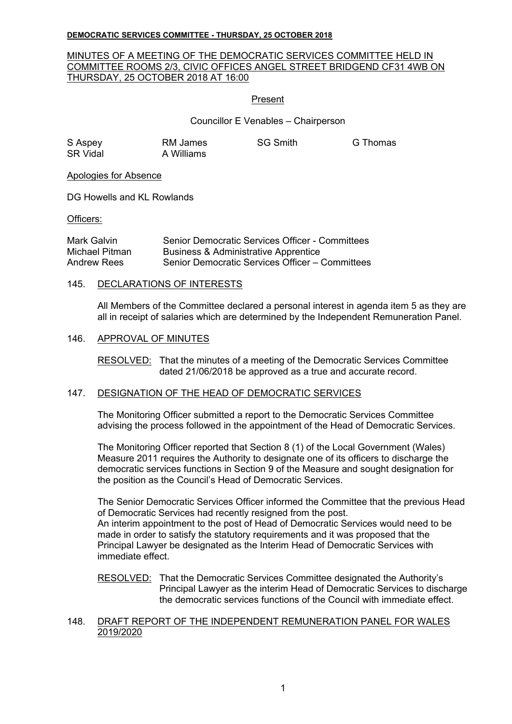# MINUTES OF A MEETING OF THE DEMOCRATIC SERVICES COMMITTEE HELD IN COMMITTEE ROOMS 2/3, CIVIC OFFICES ANGEL STREET BRIDGEND CF31 4WB ON THURSDAY, 25 OCTOBER 2018 AT 16:00

# Present

# Councillor E Venables – Chairperson

| S Aspey         | RM James   | <b>SG</b> |
|-----------------|------------|-----------|
| <b>SR Vidal</b> | A Williams |           |

S Comith G Thomas

## Apologies for Absence

DG Howells and KL Rowlands

Officers:

| Mark Galvin    | Senior Democratic Services Officer - Committees |
|----------------|-------------------------------------------------|
| Michael Pitman | <b>Business &amp; Administrative Apprentice</b> |
| Andrew Rees    | Senior Democratic Services Officer – Committees |

## 145. DECLARATIONS OF INTERESTS

All Members of the Committee declared a personal interest in agenda item 5 as they are all in receipt of salaries which are determined by the Independent Remuneration Panel.

## 146. APPROVAL OF MINUTES

RESOLVED: That the minutes of a meeting of the Democratic Services Committee dated 21/06/2018 be approved as a true and accurate record.

## 147. DESIGNATION OF THE HEAD OF DEMOCRATIC SERVICES

The Monitoring Officer submitted a report to the Democratic Services Committee advising the process followed in the appointment of the Head of Democratic Services.

The Monitoring Officer reported that Section 8 (1) of the Local Government (Wales) Measure 2011 requires the Authority to designate one of its officers to discharge the democratic services functions in Section 9 of the Measure and sought designation for the position as the Council's Head of Democratic Services.

The Senior Democratic Services Officer informed the Committee that the previous Head of Democratic Services had recently resigned from the post. An interim appointment to the post of Head of Democratic Services would need to be made in order to satisfy the statutory requirements and it was proposed that the Principal Lawyer be designated as the Interim Head of Democratic Services with immediate effect.

RESOLVED: That the Democratic Services Committee designated the Authority's Principal Lawyer as the interim Head of Democratic Services to discharge the democratic services functions of the Council with immediate effect.

## 148. DRAFT REPORT OF THE INDEPENDENT REMUNERATION PANEL FOR WALES 2019/2020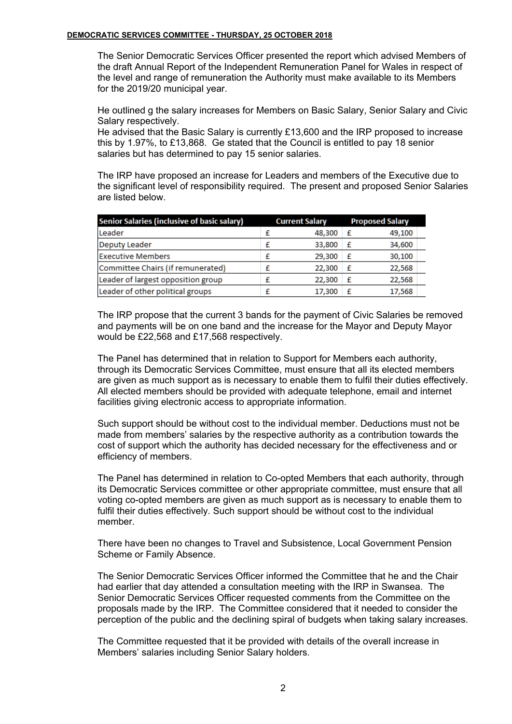The Senior Democratic Services Officer presented the report which advised Members of the draft Annual Report of the Independent Remuneration Panel for Wales in respect of the level and range of remuneration the Authority must make available to its Members for the 2019/20 municipal year.

He outlined g the salary increases for Members on Basic Salary, Senior Salary and Civic Salary respectively.

He advised that the Basic Salary is currently £13,600 and the IRP proposed to increase this by 1.97%, to £13,868. Ge stated that the Council is entitled to pay 18 senior salaries but has determined to pay 15 senior salaries.

The IRP have proposed an increase for Leaders and members of the Executive due to the significant level of responsibility required. The present and proposed Senior Salaries are listed below.

| Senior Salaries (inclusive of basic salary) | <b>Current Salary</b> |        | <b>Proposed Salary</b> |        |
|---------------------------------------------|-----------------------|--------|------------------------|--------|
| Leader                                      |                       | 48,300 | £                      | 49.100 |
| Deputy Leader                               |                       | 33,800 | £                      | 34,600 |
| <b>Executive Members</b>                    |                       | 29,300 | £                      | 30,100 |
| Committee Chairs (if remunerated)           |                       | 22,300 | £                      | 22,568 |
| Leader of largest opposition group          |                       | 22,300 | £                      | 22,568 |
| Leader of other political groups            |                       | 17.300 | f                      | 17,568 |

The IRP propose that the current 3 bands for the payment of Civic Salaries be removed and payments will be on one band and the increase for the Mayor and Deputy Mayor would be £22,568 and £17,568 respectively.

The Panel has determined that in relation to Support for Members each authority, through its Democratic Services Committee, must ensure that all its elected members are given as much support as is necessary to enable them to fulfil their duties effectively. All elected members should be provided with adequate telephone, email and internet facilities giving electronic access to appropriate information.

Such support should be without cost to the individual member. Deductions must not be made from members' salaries by the respective authority as a contribution towards the cost of support which the authority has decided necessary for the effectiveness and or efficiency of members.

The Panel has determined in relation to Co-opted Members that each authority, through its Democratic Services committee or other appropriate committee, must ensure that all voting co-opted members are given as much support as is necessary to enable them to fulfil their duties effectively. Such support should be without cost to the individual member.

There have been no changes to Travel and Subsistence, Local Government Pension Scheme or Family Absence.

The Senior Democratic Services Officer informed the Committee that he and the Chair had earlier that day attended a consultation meeting with the IRP in Swansea. The Senior Democratic Services Officer requested comments from the Committee on the proposals made by the IRP. The Committee considered that it needed to consider the perception of the public and the declining spiral of budgets when taking salary increases.

The Committee requested that it be provided with details of the overall increase in Members' salaries including Senior Salary holders.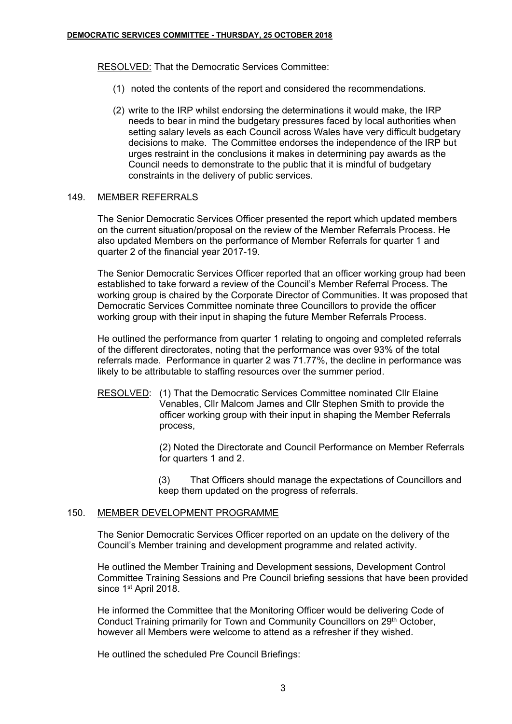RESOLVED: That the Democratic Services Committee:

- (1) noted the contents of the report and considered the recommendations.
- (2) write to the IRP whilst endorsing the determinations it would make, the IRP needs to bear in mind the budgetary pressures faced by local authorities when setting salary levels as each Council across Wales have very difficult budgetary decisions to make. The Committee endorses the independence of the IRP but urges restraint in the conclusions it makes in determining pay awards as the Council needs to demonstrate to the public that it is mindful of budgetary constraints in the delivery of public services.

# 149. MEMBER REFERRALS

The Senior Democratic Services Officer presented the report which updated members on the current situation/proposal on the review of the Member Referrals Process. He also updated Members on the performance of Member Referrals for quarter 1 and quarter 2 of the financial year 2017-19.

The Senior Democratic Services Officer reported that an officer working group had been established to take forward a review of the Council's Member Referral Process. The working group is chaired by the Corporate Director of Communities. It was proposed that Democratic Services Committee nominate three Councillors to provide the officer working group with their input in shaping the future Member Referrals Process.

He outlined the performance from quarter 1 relating to ongoing and completed referrals of the different directorates, noting that the performance was over 93% of the total referrals made. Performance in quarter 2 was 71.77%, the decline in performance was likely to be attributable to staffing resources over the summer period.

RESOLVED: (1) That the Democratic Services Committee nominated Cllr Elaine Venables, Cllr Malcom James and Cllr Stephen Smith to provide the officer working group with their input in shaping the Member Referrals process,

> (2) Noted the Directorate and Council Performance on Member Referrals for quarters 1 and 2.

> (3) That Officers should manage the expectations of Councillors and keep them updated on the progress of referrals.

## 150. MEMBER DEVELOPMENT PROGRAMME

The Senior Democratic Services Officer reported on an update on the delivery of the Council's Member training and development programme and related activity.

He outlined the Member Training and Development sessions, Development Control Committee Training Sessions and Pre Council briefing sessions that have been provided since 1<sup>st</sup> April 2018.

He informed the Committee that the Monitoring Officer would be delivering Code of Conduct Training primarily for Town and Community Councillors on 29<sup>th</sup> October, however all Members were welcome to attend as a refresher if they wished.

He outlined the scheduled Pre Council Briefings: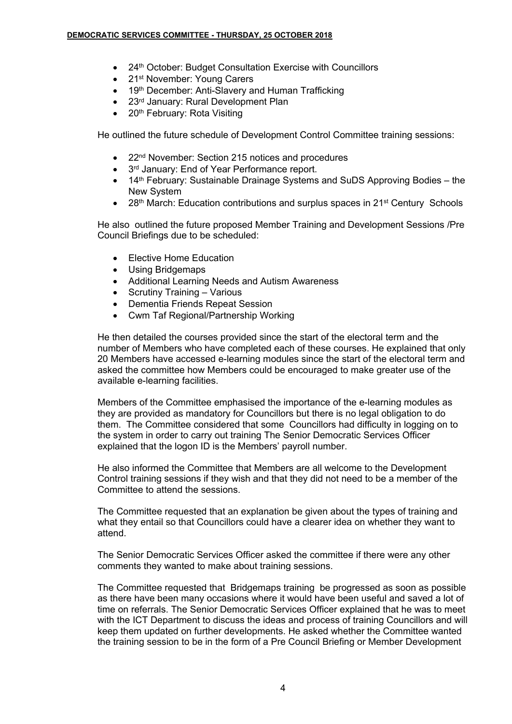- 24<sup>th</sup> October: Budget Consultation Exercise with Councillors
- 21<sup>st</sup> November: Young Carers
- 19<sup>th</sup> December: Anti-Slavery and Human Trafficking
- 23<sup>rd</sup> January: Rural Development Plan
- 20<sup>th</sup> February: Rota Visiting

He outlined the future schedule of Development Control Committee training sessions:

- 22<sup>nd</sup> November: Section 215 notices and procedures
- 3<sup>rd</sup> January: End of Year Performance report.
- 14<sup>th</sup> February: Sustainable Drainage Systems and SuDS Approving Bodies the New System
- 28<sup>th</sup> March: Education contributions and surplus spaces in 21<sup>st</sup> Century Schools

He also outlined the future proposed Member Training and Development Sessions /Pre Council Briefings due to be scheduled:

- Elective Home Education
- Using Bridgemaps
- Additional Learning Needs and Autism Awareness
- Scrutiny Training Various
- Dementia Friends Repeat Session
- Cwm Taf Regional/Partnership Working

He then detailed the courses provided since the start of the electoral term and the number of Members who have completed each of these courses. He explained that only 20 Members have accessed e-learning modules since the start of the electoral term and asked the committee how Members could be encouraged to make greater use of the available e-learning facilities.

Members of the Committee emphasised the importance of the e-learning modules as they are provided as mandatory for Councillors but there is no legal obligation to do them. The Committee considered that some Councillors had difficulty in logging on to the system in order to carry out training The Senior Democratic Services Officer explained that the logon ID is the Members' payroll number.

He also informed the Committee that Members are all welcome to the Development Control training sessions if they wish and that they did not need to be a member of the Committee to attend the sessions.

The Committee requested that an explanation be given about the types of training and what they entail so that Councillors could have a clearer idea on whether they want to attend.

The Senior Democratic Services Officer asked the committee if there were any other comments they wanted to make about training sessions.

The Committee requested that Bridgemaps training be progressed as soon as possible as there have been many occasions where it would have been useful and saved a lot of time on referrals. The Senior Democratic Services Officer explained that he was to meet with the ICT Department to discuss the ideas and process of training Councillors and will keep them updated on further developments. He asked whether the Committee wanted the training session to be in the form of a Pre Council Briefing or Member Development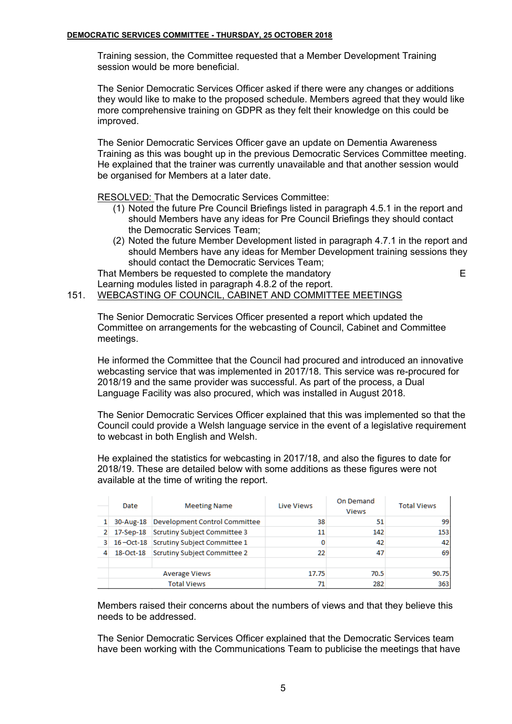Training session, the Committee requested that a Member Development Training session would be more beneficial.

The Senior Democratic Services Officer asked if there were any changes or additions they would like to make to the proposed schedule. Members agreed that they would like more comprehensive training on GDPR as they felt their knowledge on this could be improved.

The Senior Democratic Services Officer gave an update on Dementia Awareness Training as this was bought up in the previous Democratic Services Committee meeting. He explained that the trainer was currently unavailable and that another session would be organised for Members at a later date.

RESOLVED: That the Democratic Services Committee:

- (1) Noted the future Pre Council Briefings listed in paragraph 4.5.1 in the report and should Members have any ideas for Pre Council Briefings they should contact the Democratic Services Team;
- (2) Noted the future Member Development listed in paragraph 4.7.1 in the report and should Members have any ideas for Member Development training sessions they should contact the Democratic Services Team;

That Members be requested to complete the mandatory example the mandatory of the mandatory Learning modules listed in paragraph 4.8.2 of the report.

# 151. WEBCASTING OF COUNCIL, CABINET AND COMMITTEE MEETINGS

The Senior Democratic Services Officer presented a report which updated the Committee on arrangements for the webcasting of Council, Cabinet and Committee meetings.

He informed the Committee that the Council had procured and introduced an innovative webcasting service that was implemented in 2017/18. This service was re-procured for 2018/19 and the same provider was successful. As part of the process, a Dual Language Facility was also procured, which was installed in August 2018.

The Senior Democratic Services Officer explained that this was implemented so that the Council could provide a Welsh language service in the event of a legislative requirement to webcast in both English and Welsh.

He explained the statistics for webcasting in 2017/18, and also the figures to date for 2018/19. These are detailed below with some additions as these figures were not available at the time of writing the report.

|    | Date                                   | <b>Meeting Name</b>                    | <b>Live Views</b> | On Demand<br><b>Views</b> | <b>Total Views</b> |
|----|----------------------------------------|----------------------------------------|-------------------|---------------------------|--------------------|
|    | 30-Aug-18                              | Development Control Committee          | 38                | 51                        | 99                 |
|    | 17-Sep-18 Scrutiny Subject Committee 3 |                                        | 11                | 142                       | 153                |
| 3. |                                        | 16-Oct-18 Scrutiny Subject Committee 1 |                   | 42                        | 42                 |
| 4  |                                        | 18-Oct-18 Scrutiny Subject Committee 2 | 22                | 47                        | 69                 |
|    | <b>Average Views</b>                   |                                        | 17.75             | 70.5                      | 90.75              |
|    |                                        | <b>Total Views</b>                     |                   | 282                       | 363                |

Members raised their concerns about the numbers of views and that they believe this needs to be addressed.

The Senior Democratic Services Officer explained that the Democratic Services team have been working with the Communications Team to publicise the meetings that have